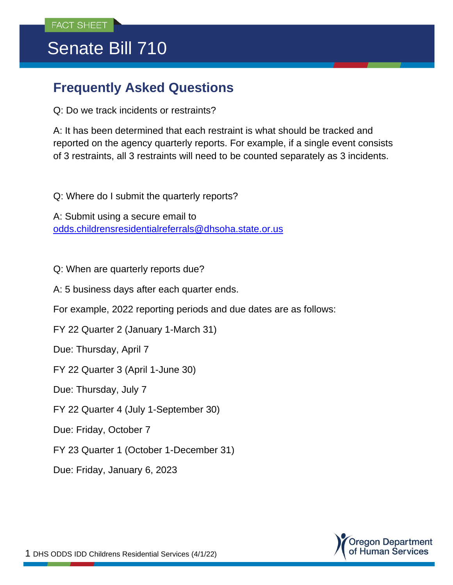## Senate Bill 710

## **Frequently Asked Questions**

Q: Do we track incidents or restraints?

A: It has been determined that each restraint is what should be tracked and reported on the agency quarterly reports. For example, if a single event consists of 3 restraints, all 3 restraints will need to be counted separately as 3 incidents.

Q: Where do I submit the quarterly reports?

A: Submit using a secure email to [odds.childrensresidentialreferrals@dhsoha.state.or.us](mailto:odds.childrensresidentialreferrals@dhsoha.state.or.us)

Q: When are quarterly reports due?

A: 5 business days after each quarter ends.

For example, 2022 reporting periods and due dates are as follows:

FY 22 Quarter 2 (January 1-March 31)

Due: Thursday, April 7

FY 22 Quarter 3 (April 1-June 30)

Due: Thursday, July 7

FY 22 Quarter 4 (July 1-September 30)

Due: Friday, October 7

FY 23 Quarter 1 (October 1-December 31)

Due: Friday, January 6, 2023

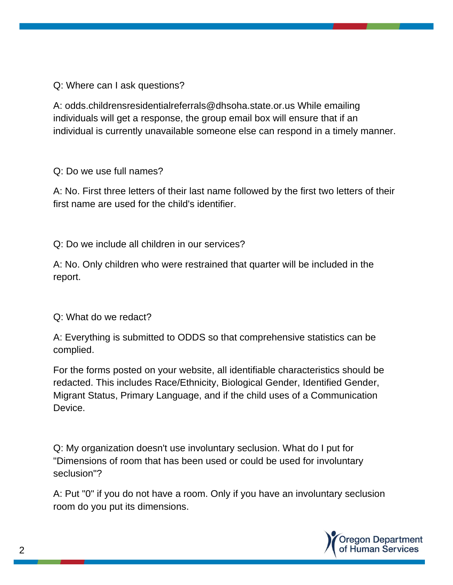Q: Where can I ask questions?

A: odds.childrensresidentialreferrals@dhsoha.state.or.us While emailing individuals will get a response, the group email box will ensure that if an individual is currently unavailable someone else can respond in a timely manner.

Q: Do we use full names?

A: No. First three letters of their last name followed by the first two letters of their first name are used for the child's identifier.

Q: Do we include all children in our services?

A: No. Only children who were restrained that quarter will be included in the report.

Q: What do we redact?

A: Everything is submitted to ODDS so that comprehensive statistics can be complied.

For the forms posted on your website, all identifiable characteristics should be redacted. This includes Race/Ethnicity, Biological Gender, Identified Gender, Migrant Status, Primary Language, and if the child uses of a Communication Device.

Q: My organization doesn't use involuntary seclusion. What do I put for "Dimensions of room that has been used or could be used for involuntary seclusion"?

A: Put "0" if you do not have a room. Only if you have an involuntary seclusion room do you put its dimensions.

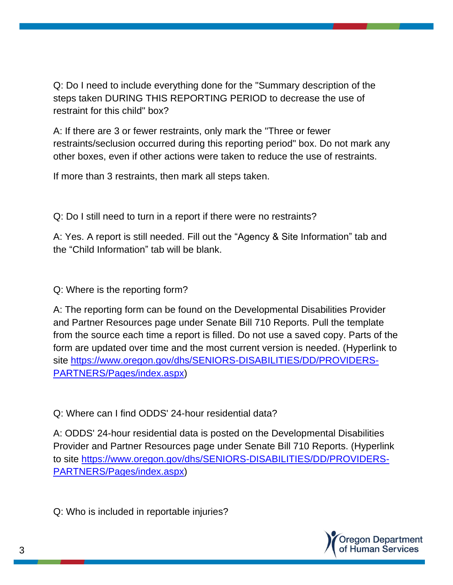Q: Do I need to include everything done for the "Summary description of the steps taken DURING THIS REPORTING PERIOD to decrease the use of restraint for this child" box?

A: If there are 3 or fewer restraints, only mark the "Three or fewer restraints/seclusion occurred during this reporting period" box. Do not mark any other boxes, even if other actions were taken to reduce the use of restraints.

If more than 3 restraints, then mark all steps taken.

Q: Do I still need to turn in a report if there were no restraints?

A: Yes. A report is still needed. Fill out the "Agency & Site Information" tab and the "Child Information" tab will be blank.

Q: Where is the reporting form?

A: The reporting form can be found on the Developmental Disabilities Provider and Partner Resources page under Senate Bill 710 Reports. Pull the template from the source each time a report is filled. Do not use a saved copy. Parts of the form are updated over time and the most current version is needed. (Hyperlink to site [https://www.oregon.gov/dhs/SENIORS-DISABILITIES/DD/PROVIDERS-](https://www.oregon.gov/dhs/SENIORS-DISABILITIES/DD/PROVIDERS-PARTNERS/Pages/index.aspx)[PARTNERS/Pages/index.aspx\)](https://www.oregon.gov/dhs/SENIORS-DISABILITIES/DD/PROVIDERS-PARTNERS/Pages/index.aspx)

Q: Where can I find ODDS' 24-hour residential data?

A: ODDS' 24-hour residential data is posted on the Developmental Disabilities Provider and Partner Resources page under Senate Bill 710 Reports. (Hyperlink to site [https://www.oregon.gov/dhs/SENIORS-DISABILITIES/DD/PROVIDERS-](https://www.oregon.gov/dhs/SENIORS-DISABILITIES/DD/PROVIDERS-PARTNERS/Pages/index.aspx)[PARTNERS/Pages/index.aspx\)](https://www.oregon.gov/dhs/SENIORS-DISABILITIES/DD/PROVIDERS-PARTNERS/Pages/index.aspx)

Q: Who is included in reportable injuries?

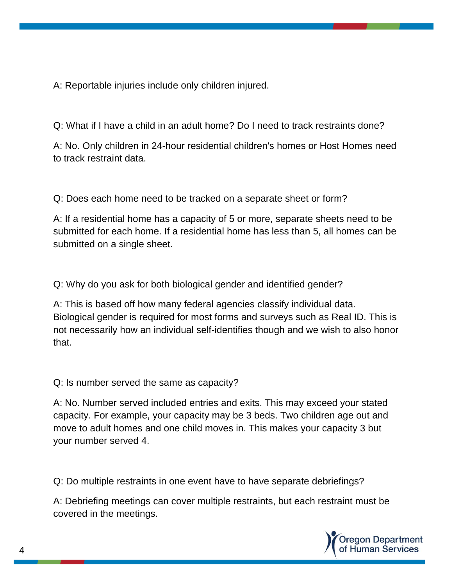A: Reportable injuries include only children injured.

Q: What if I have a child in an adult home? Do I need to track restraints done?

A: No. Only children in 24-hour residential children's homes or Host Homes need to track restraint data.

Q: Does each home need to be tracked on a separate sheet or form?

A: If a residential home has a capacity of 5 or more, separate sheets need to be submitted for each home. If a residential home has less than 5, all homes can be submitted on a single sheet.

Q: Why do you ask for both biological gender and identified gender?

A: This is based off how many federal agencies classify individual data. Biological gender is required for most forms and surveys such as Real ID. This is not necessarily how an individual self-identifies though and we wish to also honor that.

Q: Is number served the same as capacity?

A: No. Number served included entries and exits. This may exceed your stated capacity. For example, your capacity may be 3 beds. Two children age out and move to adult homes and one child moves in. This makes your capacity 3 but your number served 4.

Q: Do multiple restraints in one event have to have separate debriefings?

A: Debriefing meetings can cover multiple restraints, but each restraint must be covered in the meetings.